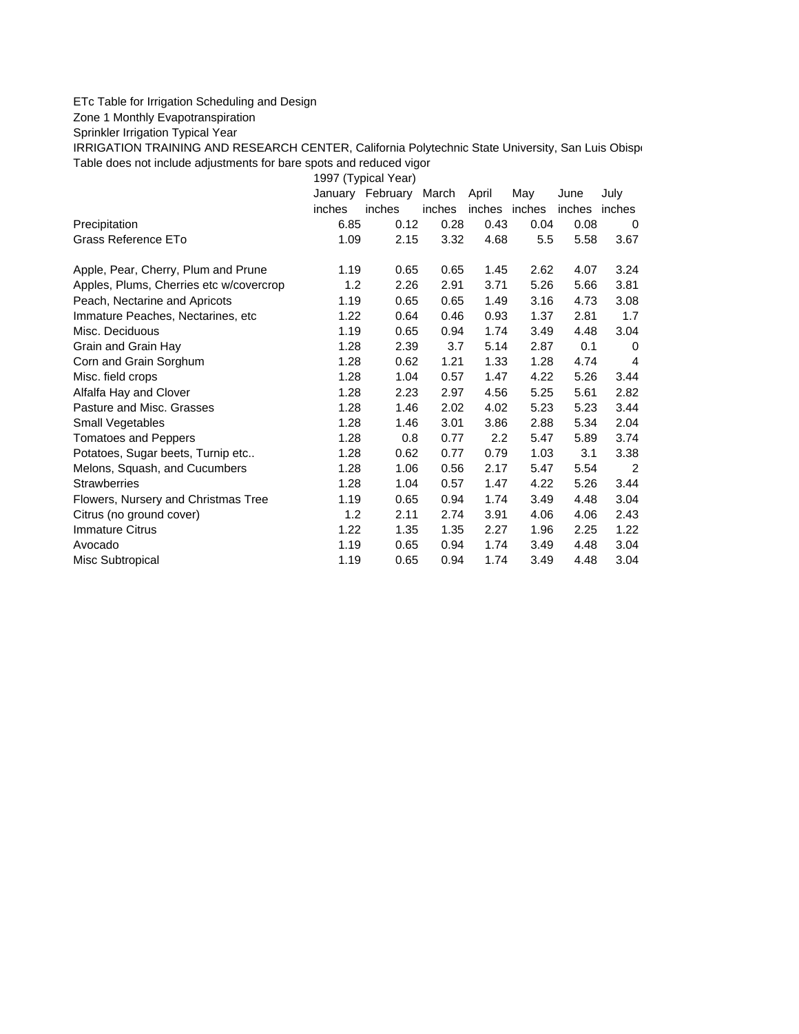## ETc Table for Irrigation Scheduling and Design

Zone 1 Monthly Evapotranspiration

Sprinkler Irrigation Typical Year

IRRIGATION TRAINING AND RESEARCH CENTER, California Polytechnic State University, San Luis Obispo Table does not include adjustments for bare spots and reduced vigor

1997 (Typical Year)

|                                         |        | January February | March  | April         | May  | June   | July   |
|-----------------------------------------|--------|------------------|--------|---------------|------|--------|--------|
|                                         | inches | inches           | inches | inches inches |      | inches | inches |
| Precipitation                           | 6.85   | 0.12             | 0.28   | 0.43          | 0.04 | 0.08   | 0      |
| Grass Reference ETo                     | 1.09   | 2.15             | 3.32   | 4.68          | 5.5  | 5.58   | 3.67   |
| Apple, Pear, Cherry, Plum and Prune     | 1.19   | 0.65             | 0.65   | 1.45          | 2.62 | 4.07   | 3.24   |
| Apples, Plums, Cherries etc w/covercrop | 1.2    | 2.26             | 2.91   | 3.71          | 5.26 | 5.66   | 3.81   |
| Peach, Nectarine and Apricots           | 1.19   | 0.65             | 0.65   | 1.49          | 3.16 | 4.73   | 3.08   |
| Immature Peaches, Nectarines, etc.      | 1.22   | 0.64             | 0.46   | 0.93          | 1.37 | 2.81   | 1.7    |
| Misc. Deciduous                         | 1.19   | 0.65             | 0.94   | 1.74          | 3.49 | 4.48   | 3.04   |
| Grain and Grain Hay                     | 1.28   | 2.39             | 3.7    | 5.14          | 2.87 | 0.1    | 0      |
| Corn and Grain Sorghum                  | 1.28   | 0.62             | 1.21   | 1.33          | 1.28 | 4.74   | 4      |
| Misc. field crops                       | 1.28   | 1.04             | 0.57   | 1.47          | 4.22 | 5.26   | 3.44   |
| Alfalfa Hay and Clover                  | 1.28   | 2.23             | 2.97   | 4.56          | 5.25 | 5.61   | 2.82   |
| Pasture and Misc. Grasses               | 1.28   | 1.46             | 2.02   | 4.02          | 5.23 | 5.23   | 3.44   |
| Small Vegetables                        | 1.28   | 1.46             | 3.01   | 3.86          | 2.88 | 5.34   | 2.04   |
| <b>Tomatoes and Peppers</b>             | 1.28   | 0.8              | 0.77   | 2.2           | 5.47 | 5.89   | 3.74   |
| Potatoes, Sugar beets, Turnip etc       | 1.28   | 0.62             | 0.77   | 0.79          | 1.03 | 3.1    | 3.38   |
| Melons, Squash, and Cucumbers           | 1.28   | 1.06             | 0.56   | 2.17          | 5.47 | 5.54   | 2      |
| <b>Strawberries</b>                     | 1.28   | 1.04             | 0.57   | 1.47          | 4.22 | 5.26   | 3.44   |
| Flowers, Nursery and Christmas Tree     | 1.19   | 0.65             | 0.94   | 1.74          | 3.49 | 4.48   | 3.04   |
| Citrus (no ground cover)                | 1.2    | 2.11             | 2.74   | 3.91          | 4.06 | 4.06   | 2.43   |
| <b>Immature Citrus</b>                  | 1.22   | 1.35             | 1.35   | 2.27          | 1.96 | 2.25   | 1.22   |
| Avocado                                 | 1.19   | 0.65             | 0.94   | 1.74          | 3.49 | 4.48   | 3.04   |
| Misc Subtropical                        | 1.19   | 0.65             | 0.94   | 1.74          | 3.49 | 4.48   | 3.04   |